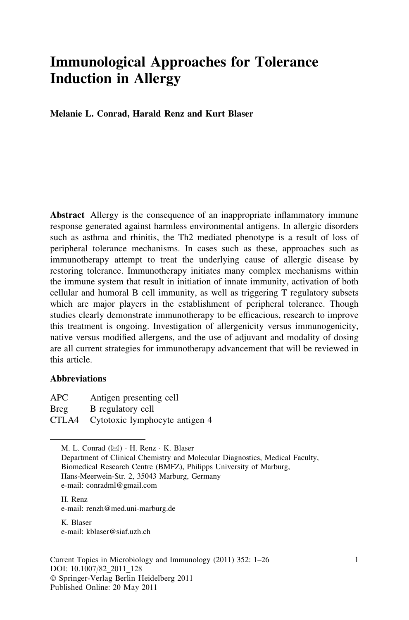# Immunological Approaches for Tolerance Induction in Allergy

Melanie L. Conrad, Harald Renz and Kurt Blaser

Abstract Allergy is the consequence of an inappropriate inflammatory immune response generated against harmless environmental antigens. In allergic disorders such as asthma and rhinitis, the Th2 mediated phenotype is a result of loss of peripheral tolerance mechanisms. In cases such as these, approaches such as immunotherapy attempt to treat the underlying cause of allergic disease by restoring tolerance. Immunotherapy initiates many complex mechanisms within the immune system that result in initiation of innate immunity, activation of both cellular and humoral B cell immunity, as well as triggering T regulatory subsets which are major players in the establishment of peripheral tolerance. Though studies clearly demonstrate immunotherapy to be efficacious, research to improve this treatment is ongoing. Investigation of allergenicity versus immunogenicity, native versus modified allergens, and the use of adjuvant and modality of dosing are all current strategies for immunotherapy advancement that will be reviewed in this article.

#### **Abbreviations**

APC Antigen presenting cell Breg B regulatory cell CTLA4 Cytotoxic lymphocyte antigen 4

M. L. Conrad ( $\boxtimes$ ) · H. Renz · K. Blaser

Department of Clinical Chemistry and Molecular Diagnostics, Medical Faculty, Biomedical Research Centre (BMFZ), Philipps University of Marburg, Hans-Meerwein-Str. 2, 35043 Marburg, Germany e-mail: conradml@gmail.com

H. Renz e-mail: renzh@med.uni-marburg.de

K. Blaser e-mail: kblaser@siaf.uzh.ch

Current Topics in Microbiology and Immunology (2011) 352: 1–26 1 DOI: 10.1007/82\_2011\_128 - Springer-Verlag Berlin Heidelberg 2011 Published Online: 20 May 2011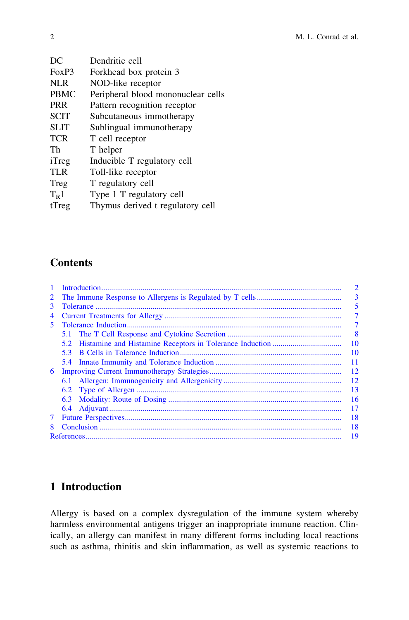| DC          | Dendritic cell                     |  |  |
|-------------|------------------------------------|--|--|
| FoxP3       | Forkhead box protein 3             |  |  |
| <b>NLR</b>  | NOD-like receptor                  |  |  |
| <b>PBMC</b> | Peripheral blood mononuclear cells |  |  |
| <b>PRR</b>  | Pattern recognition receptor       |  |  |
| <b>SCIT</b> | Subcutaneous immotherapy           |  |  |
| <b>SLIT</b> | Sublingual immunotherapy           |  |  |
| <b>TCR</b>  | T cell receptor                    |  |  |
| Th          | T helper                           |  |  |
| iTreg       | Inducible T regulatory cell        |  |  |
| <b>TLR</b>  | Toll-like receptor                 |  |  |
| Treg        | T regulatory cell                  |  |  |
| $T_R1$      | Type 1 T regulatory cell           |  |  |
| tTreg       | Thymus derived t regulatory cell   |  |  |
|             |                                    |  |  |

## **Contents**

| $\mathbf{1}$ |                | $\overline{2}$ |  |
|--------------|----------------|----------------|--|
| 2            | $\overline{3}$ |                |  |
| 3            |                |                |  |
| 4            |                |                |  |
| 5.           |                | 7              |  |
|              |                | 8              |  |
|              | $5.2^{\circ}$  | 10             |  |
|              | 5.3            | -10            |  |
|              |                | 11             |  |
| 6            |                | <sup>12</sup>  |  |
|              | 6.1            | <sup>12</sup>  |  |
|              |                | 13             |  |
|              | 6.3            | 16             |  |
|              |                | 17             |  |
| 7            |                |                |  |
| 8            | 18             |                |  |
|              |                | 19             |  |

## 1 Introduction

Allergy is based on a complex dysregulation of the immune system whereby harmless environmental antigens trigger an inappropriate immune reaction. Clinically, an allergy can manifest in many different forms including local reactions such as asthma, rhinitis and skin inflammation, as well as systemic reactions to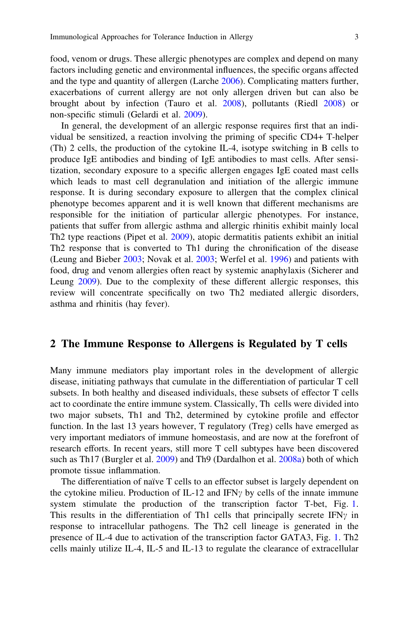<span id="page-2-0"></span>food, venom or drugs. These allergic phenotypes are complex and depend on many factors including genetic and environmental influences, the specific organs affected and the type and quantity of allergen (Larche [2006\)](#page-21-0). Complicating matters further, exacerbations of current allergy are not only allergen driven but can also be brought about by infection (Tauro et al. [2008](#page-24-0)), pollutants (Riedl [2008\)](#page-23-0) or non-specific stimuli (Gelardi et al. [2009\)](#page-20-0).

In general, the development of an allergic response requires first that an individual be sensitized, a reaction involving the priming of specific CD4+ T-helper (Th) 2 cells, the production of the cytokine IL-4, isotype switching in B cells to produce IgE antibodies and binding of IgE antibodies to mast cells. After sensitization, secondary exposure to a specific allergen engages IgE coated mast cells which leads to mast cell degranulation and initiation of the allergic immune response. It is during secondary exposure to allergen that the complex clinical phenotype becomes apparent and it is well known that different mechanisms are responsible for the initiation of particular allergic phenotypes. For instance, patients that suffer from allergic asthma and allergic rhinitis exhibit mainly local Th2 type reactions (Pipet et al. [2009\)](#page-23-0), atopic dermatitis patients exhibit an initial Th2 response that is converted to Th1 during the chronification of the disease (Leung and Bieber [2003;](#page-21-0) Novak et al. [2003;](#page-22-0) Werfel et al. [1996](#page-25-0)) and patients with food, drug and venom allergies often react by systemic anaphylaxis (Sicherer and Leung [2009\)](#page-23-0). Due to the complexity of these different allergic responses, this review will concentrate specifically on two Th2 mediated allergic disorders, asthma and rhinitis (hay fever).

#### 2 The Immune Response to Allergens is Regulated by T cells

Many immune mediators play important roles in the development of allergic disease, initiating pathways that cumulate in the differentiation of particular T cell subsets. In both healthy and diseased individuals, these subsets of effector T cells act to coordinate the entire immune system. Classically, Th cells were divided into two major subsets, Th1 and Th2, determined by cytokine profile and effector function. In the last 13 years however, T regulatory (Treg) cells have emerged as very important mediators of immune homeostasis, and are now at the forefront of research efforts. In recent years, still more T cell subtypes have been discovered such as Th17 (Burgler et al. [2009\)](#page-19-0) and Th9 (Dardalhon et al. [2008a\)](#page-19-0) both of which promote tissue inflammation.

The differentiation of naïve T cells to an effector subset is largely dependent on the cytokine milieu. Production of IL-12 and IFN<sub> $\gamma$ </sub> by cells of the innate immune system stimulate the production of the transcription factor T-bet, Fig. [1](#page-3-0). This results in the differentiation of Th1 cells that principally secrete IFN $\gamma$  in response to intracellular pathogens. The Th2 cell lineage is generated in the presence of IL-4 due to activation of the transcription factor GATA3, Fig. [1.](#page-3-0) Th2 cells mainly utilize IL-4, IL-5 and IL-13 to regulate the clearance of extracellular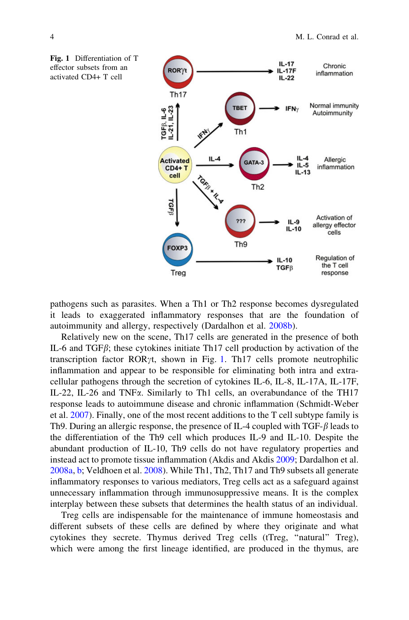

<span id="page-3-0"></span>Fig. 1 Differentiation of T effector subsets from an activated CD4+ T cell

pathogens such as parasites. When a Th1 or Th2 response becomes dysregulated it leads to exaggerated inflammatory responses that are the foundation of autoimmunity and allergy, respectively (Dardalhon et al. [2008b](#page-19-0)).

Relatively new on the scene, Th17 cells are generated in the presence of both IL-6 and TGF $\beta$ ; these cytokines initiate Th17 cell production by activation of the transcription factor ROR $\gamma t$ , shown in Fig. 1. Th17 cells promote neutrophilic inflammation and appear to be responsible for eliminating both intra and extracellular pathogens through the secretion of cytokines IL-6, IL-8, IL-17A, IL-17F, IL-22, IL-26 and TNF $\alpha$ . Similarly to Th1 cells, an overabundance of the TH17 response leads to autoimmune disease and chronic inflammation (Schmidt-Weber et al. [2007\)](#page-23-0). Finally, one of the most recent additions to the T cell subtype family is Th9. During an allergic response, the presence of IL-4 coupled with TGF- $\beta$  leads to the differentiation of the Th9 cell which produces IL-9 and IL-10. Despite the abundant production of IL-10, Th9 cells do not have regulatory properties and instead act to promote tissue inflammation (Akdis and Akdis [2009;](#page-18-0) Dardalhon et al. [2008a](#page-19-0), [b;](#page-19-0) Veldhoen et al. [2008\)](#page-24-0). While Th1, Th2, Th17 and Th9 subsets all generate inflammatory responses to various mediators, Treg cells act as a safeguard against unnecessary inflammation through immunosuppressive means. It is the complex interplay between these subsets that determines the health status of an individual.

Treg cells are indispensable for the maintenance of immune homeostasis and different subsets of these cells are defined by where they originate and what cytokines they secrete. Thymus derived Treg cells (tTreg, ''natural'' Treg), which were among the first lineage identified, are produced in the thymus, are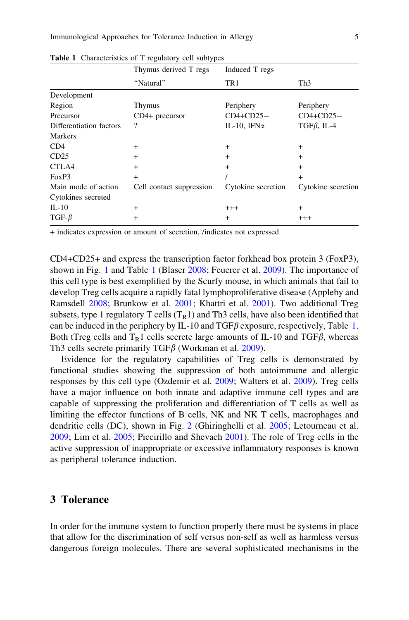|                         | Thymus derived T regs<br>"Natural" | Induced T regs      |                    |
|-------------------------|------------------------------------|---------------------|--------------------|
|                         |                                    | TR1                 | Th <sub>3</sub>    |
| Development             |                                    |                     |                    |
| Region                  | <b>Thymus</b>                      | Periphery           | Periphery          |
| Precursor               | $CD4+$ precursor                   | $CD4+CD25-$         | $CD4+CD25-$        |
| Differentiation factors | ?                                  | IL-10, IFN $\alpha$ | TGF $\beta$ , IL-4 |
| <b>Markers</b>          |                                    |                     |                    |
| CD4                     | $^{+}$                             | $^{+}$              | $^{+}$             |
| CD25                    | $+$                                | $^{+}$              | $+$                |
| CTLA4                   | $^{+}$                             | $\ddot{}$           | $+$                |
| FoxP3                   | $^{+}$                             |                     | $+$                |
| Main mode of action     | Cell contact suppression           | Cytokine secretion  | Cytokine secretion |
| Cytokines secreted      |                                    |                     |                    |
| $IL-10$                 | $^{+}$                             | $^{+++}$            | $^{+}$             |
| $TGF-\beta$             | $\ddot{}$                          | $^{+}$              | $^{+++}$           |
|                         |                                    |                     |                    |

<span id="page-4-0"></span>Table 1 Characteristics of T regulatory cell subtypes

+ indicates expression or amount of secretion, /indicates not expressed

CD4+CD25+ and express the transcription factor forkhead box protein 3 (FoxP3), shown in Fig. [1](#page-3-0) and Table 1 (Blaser [2008;](#page-18-0) Feuerer et al. [2009\)](#page-19-0). The importance of this cell type is best exemplified by the Scurfy mouse, in which animals that fail to develop Treg cells acquire a rapidly fatal lymphoproliferative disease (Appleby and Ramsdell [2008](#page-18-0); Brunkow et al. [2001;](#page-18-0) Khattri et al. [2001\)](#page-21-0). Two additional Treg subsets, type 1 regulatory T cells  $(T_R1)$  and Th3 cells, have also been identified that can be induced in the periphery by IL-10 and  $TGF\beta$  exposure, respectively, Table 1. Both tTreg cells and  $T<sub>B</sub>1$  cells secrete large amounts of IL-10 and TGF $\beta$ , whereas Th3 cells secrete primarily TGF $\beta$  (Workman et al. [2009\)](#page-25-0).

Evidence for the regulatory capabilities of Treg cells is demonstrated by functional studies showing the suppression of both autoimmune and allergic responses by this cell type (Ozdemir et al. [2009](#page-22-0); Walters et al. [2009\)](#page-25-0). Treg cells have a major influence on both innate and adaptive immune cell types and are capable of suppressing the proliferation and differentiation of T cells as well as limiting the effector functions of B cells, NK and NK T cells, macrophages and dendritic cells (DC), shown in Fig. [2](#page-5-0) (Ghiringhelli et al. [2005;](#page-20-0) Letourneau et al. [2009;](#page-21-0) Lim et al. [2005](#page-21-0); Piccirillo and Shevach [2001](#page-23-0)). The role of Treg cells in the active suppression of inappropriate or excessive inflammatory responses is known as peripheral tolerance induction.

## 3 Tolerance

In order for the immune system to function properly there must be systems in place that allow for the discrimination of self versus non-self as well as harmless versus dangerous foreign molecules. There are several sophisticated mechanisms in the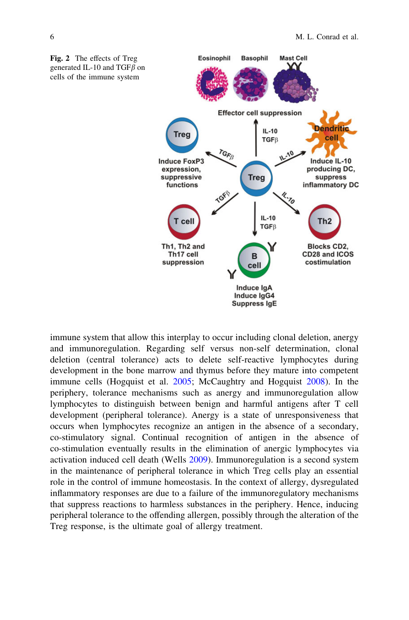<span id="page-5-0"></span>

immune system that allow this interplay to occur including clonal deletion, anergy and immunoregulation. Regarding self versus non-self determination, clonal deletion (central tolerance) acts to delete self-reactive lymphocytes during development in the bone marrow and thymus before they mature into competent immune cells (Hogquist et al. [2005](#page-20-0); McCaughtry and Hogquist [2008\)](#page-22-0). In the periphery, tolerance mechanisms such as anergy and immunoregulation allow lymphocytes to distinguish between benign and harmful antigens after T cell development (peripheral tolerance). Anergy is a state of unresponsiveness that occurs when lymphocytes recognize an antigen in the absence of a secondary, co-stimulatory signal. Continual recognition of antigen in the absence of co-stimulation eventually results in the elimination of anergic lymphocytes via activation induced cell death (Wells [2009](#page-25-0)). Immunoregulation is a second system in the maintenance of peripheral tolerance in which Treg cells play an essential role in the control of immune homeostasis. In the context of allergy, dysregulated inflammatory responses are due to a failure of the immunoregulatory mechanisms that suppress reactions to harmless substances in the periphery. Hence, inducing peripheral tolerance to the offending allergen, possibly through the alteration of the Treg response, is the ultimate goal of allergy treatment.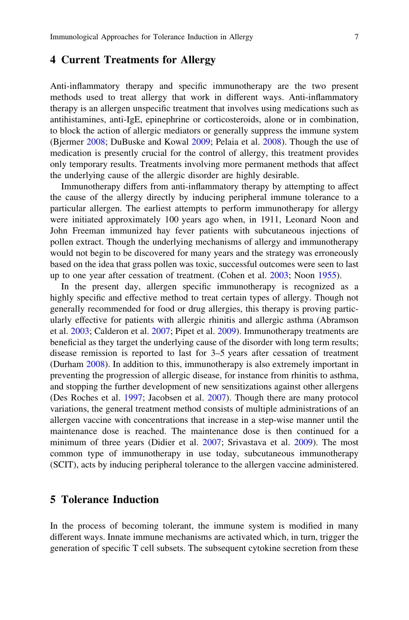### <span id="page-6-0"></span>4 Current Treatments for Allergy

Anti-inflammatory therapy and specific immunotherapy are the two present methods used to treat allergy that work in different ways. Anti-inflammatory therapy is an allergen unspecific treatment that involves using medications such as antihistamines, anti-IgE, epinephrine or corticosteroids, alone or in combination, to block the action of allergic mediators or generally suppress the immune system (Bjermer [2008](#page-18-0); DuBuske and Kowal [2009](#page-19-0); Pelaia et al. [2008\)](#page-23-0). Though the use of medication is presently crucial for the control of allergy, this treatment provides only temporary results. Treatments involving more permanent methods that affect the underlying cause of the allergic disorder are highly desirable.

Immunotherapy differs from anti-inflammatory therapy by attempting to affect the cause of the allergy directly by inducing peripheral immune tolerance to a particular allergen. The earliest attempts to perform immunotherapy for allergy were initiated approximately 100 years ago when, in 1911, Leonard Noon and John Freeman immunized hay fever patients with subcutaneous injections of pollen extract. Though the underlying mechanisms of allergy and immunotherapy would not begin to be discovered for many years and the strategy was erroneously based on the idea that grass pollen was toxic, successful outcomes were seen to last up to one year after cessation of treatment. (Cohen et al. [2003](#page-19-0); Noon [1955\)](#page-22-0).

In the present day, allergen specific immunotherapy is recognized as a highly specific and effective method to treat certain types of allergy. Though not generally recommended for food or drug allergies, this therapy is proving particularly effective for patients with allergic rhinitis and allergic asthma (Abramson et al. [2003](#page-18-0); Calderon et al. [2007](#page-19-0); Pipet et al. [2009\)](#page-23-0). Immunotherapy treatments are beneficial as they target the underlying cause of the disorder with long term results; disease remission is reported to last for 3–5 years after cessation of treatment (Durham [2008\)](#page-19-0). In addition to this, immunotherapy is also extremely important in preventing the progression of allergic disease, for instance from rhinitis to asthma, and stopping the further development of new sensitizations against other allergens (Des Roches et al. [1997](#page-19-0); Jacobsen et al. [2007](#page-20-0)). Though there are many protocol variations, the general treatment method consists of multiple administrations of an allergen vaccine with concentrations that increase in a step-wise manner until the maintenance dose is reached. The maintenance dose is then continued for a minimum of three years (Didier et al. [2007;](#page-19-0) Srivastava et al. [2009](#page-23-0)). The most common type of immunotherapy in use today, subcutaneous immunotherapy (SCIT), acts by inducing peripheral tolerance to the allergen vaccine administered.

## 5 Tolerance Induction

In the process of becoming tolerant, the immune system is modified in many different ways. Innate immune mechanisms are activated which, in turn, trigger the generation of specific T cell subsets. The subsequent cytokine secretion from these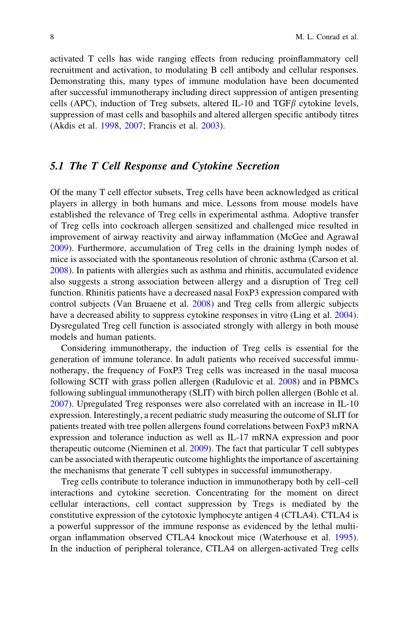<span id="page-7-0"></span>activated T cells has wide ranging effects from reducing proinflammatory cell recruitment and activation, to modulating B cell antibody and cellular responses. Demonstrating this, many types of immune modulation have been documented after successful immunotherapy including direct suppression of antigen presenting cells (APC), induction of Treg subsets, altered IL-10 and TGF $\beta$  cytokine levels, suppression of mast cells and basophils and altered allergen specific antibody titres (Akdis et al. [1998,](#page-18-0) [2007;](#page-18-0) Francis et al. [2003](#page-20-0)).

#### 5.1 The T Cell Response and Cytokine Secretion

Of the many T cell effector subsets, Treg cells have been acknowledged as critical players in allergy in both humans and mice. Lessons from mouse models have established the relevance of Treg cells in experimental asthma. Adoptive transfer of Treg cells into cockroach allergen sensitized and challenged mice resulted in improvement of airway reactivity and airway inflammation (McGee and Agrawal [2009\)](#page-22-0). Furthermore, accumulation of Treg cells in the draining lymph nodes of mice is associated with the spontaneous resolution of chronic asthma (Carson et al. [2008\)](#page-19-0). In patients with allergies such as asthma and rhinitis, accumulated evidence also suggests a strong association between allergy and a disruption of Treg cell function. Rhinitis patients have a decreased nasal FoxP3 expression compared with control subjects (Van Bruaene et al. [2008\)](#page-24-0) and Treg cells from allergic subjects have a decreased ability to suppress cytokine responses in vitro (Ling et al. [2004\)](#page-21-0). Dysregulated Treg cell function is associated strongly with allergy in both mouse models and human patients.

Considering immunotherapy, the induction of Treg cells is essential for the generation of immune tolerance. In adult patients who received successful immunotherapy, the frequency of FoxP3 Treg cells was increased in the nasal mucosa following SCIT with grass pollen allergen (Radulovic et al. [2008\)](#page-23-0) and in PBMCs following sublingual immunotherapy (SLIT) with birch pollen allergen (Bohle et al. [2007\)](#page-18-0). Upregulated Treg responses were also correlated with an increase in IL-10 expression. Interestingly, a recent pediatric study measuring the outcome of SLIT for patients treated with tree pollen allergens found correlations between FoxP3 mRNA expression and tolerance induction as well as IL-17 mRNA expression and poor therapeutic outcome (Nieminen et al. [2009\)](#page-22-0). The fact that particular T cell subtypes can be associated with therapeutic outcome highlights the importance of ascertaining the mechanisms that generate T cell subtypes in successful immunotherapy.

Treg cells contribute to tolerance induction in immunotherapy both by cell–cell interactions and cytokine secretion. Concentrating for the moment on direct cellular interactions, cell contact suppression by Tregs is mediated by the constitutive expression of the cytotoxic lymphocyte antigen 4 (CTLA4). CTLA4 is a powerful suppressor of the immune response as evidenced by the lethal multiorgan inflammation observed CTLA4 knockout mice (Waterhouse et al. [1995\)](#page-25-0). In the induction of peripheral tolerance, CTLA4 on allergen-activated Treg cells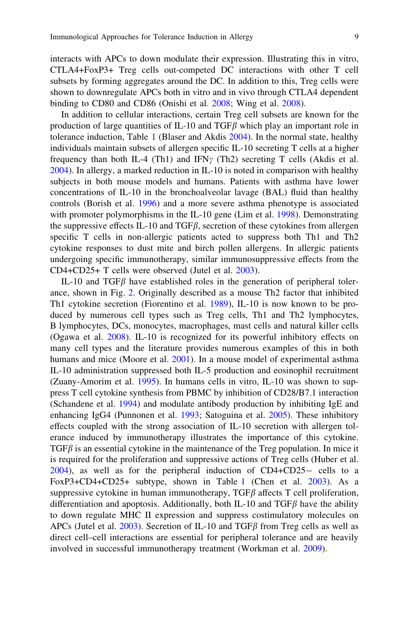interacts with APCs to down modulate their expression. Illustrating this in vitro, CTLA4+FoxP3+ Treg cells out-competed DC interactions with other T cell subsets by forming aggregates around the DC. In addition to this, Treg cells were shown to downregulate APCs both in vitro and in vivo through CTLA4 dependent binding to CD80 and CD86 (Onishi et al. [2008;](#page-22-0) Wing et al. [2008](#page-25-0)).

In addition to cellular interactions, certain Treg cell subsets are known for the production of large quantities of IL-10 and TGF $\beta$  which play an important role in tolerance induction, Table [1](#page-4-0) (Blaser and Akdis [2004](#page-18-0)). In the normal state, healthy individuals maintain subsets of allergen specific IL-10 secreting T cells at a higher frequency than both IL-4 (Th1) and IFN<sub> $\gamma$ </sub> (Th2) secreting T cells (Akdis et al. [2004\)](#page-18-0). In allergy, a marked reduction in IL-10 is noted in comparison with healthy subjects in both mouse models and humans. Patients with asthma have lower concentrations of IL-10 in the bronchoalveolar lavage (BAL) fluid than healthy controls (Borish et al. [1996](#page-18-0)) and a more severe asthma phenotype is associated with promoter polymorphisms in the IL-10 gene (Lim et al. [1998](#page-21-0)). Demonstrating the suppressive effects IL-10 and TGF $\beta$ , secretion of these cytokines from allergen specific T cells in non-allergic patients acted to suppress both Th1 and Th2 cytokine responses to dust mite and birch pollen allergens. In allergic patients undergoing specific immunotherapy, similar immunosuppressive effects from the CD4+CD25+ T cells were observed (Jutel et al. [2003\)](#page-20-0).

IL-10 and TGF $\beta$  have established roles in the generation of peripheral tolerance, shown in Fig. [2](#page-5-0). Originally described as a mouse Th2 factor that inhibited Th1 cytokine secretion (Fiorentino et al. [1989](#page-20-0)), IL-10 is now known to be produced by numerous cell types such as Treg cells, Th1 and Th2 lymphocytes, B lymphocytes, DCs, monocytes, macrophages, mast cells and natural killer cells (Ogawa et al. [2008](#page-22-0)). IL-10 is recognized for its powerful inhibitory effects on many cell types and the literature provides numerous examples of this in both humans and mice (Moore et al. [2001\)](#page-22-0). In a mouse model of experimental asthma IL-10 administration suppressed both IL-5 production and eosinophil recruitment (Zuany-Amorim et al. [1995\)](#page-25-0). In humans cells in vitro, IL-10 was shown to suppress T cell cytokine synthesis from PBMC by inhibition of CD28/B7.1 interaction (Schandene et al. [1994\)](#page-23-0) and modulate antibody production by inhibiting IgE and enhancing IgG4 (Punnonen et al. [1993](#page-23-0); Satoguina et al. [2005\)](#page-23-0). These inhibitory effects coupled with the strong association of IL-10 secretion with allergen tolerance induced by immunotherapy illustrates the importance of this cytokine.  $TGF\beta$  is an essential cytokine in the maintenance of the Treg population. In mice it is required for the proliferation and suppressive actions of Treg cells (Huber et al. [2004\)](#page-20-0), as well as for the peripheral induction of CD4+CD25- cells to a FoxP3+CD4+CD25+ subtype, shown in Table [1](#page-4-0) (Chen et al. [2003](#page-19-0)). As a suppressive cytokine in human immunotherapy,  $TGF\beta$  affects T cell proliferation, differentiation and apoptosis. Additionally, both IL-10 and TGF $\beta$  have the ability to down regulate MHC II expression and suppress costimulatory molecules on APCs (Jutel et al. [2003](#page-20-0)). Secretion of IL-10 and TGF $\beta$  from Treg cells as well as direct cell–cell interactions are essential for peripheral tolerance and are heavily involved in successful immunotherapy treatment (Workman et al. [2009](#page-25-0)).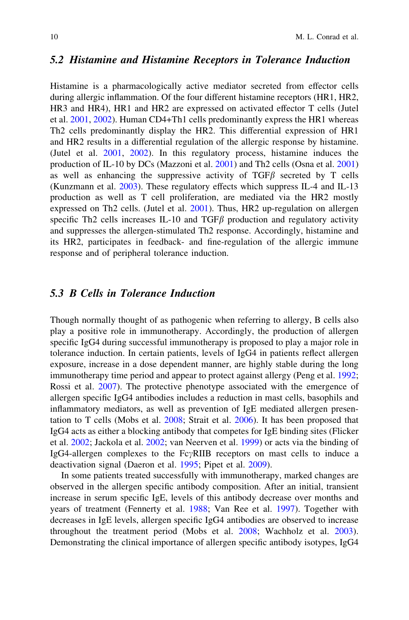#### <span id="page-9-0"></span>5.2 Histamine and Histamine Receptors in Tolerance Induction

Histamine is a pharmacologically active mediator secreted from effector cells during allergic inflammation. Of the four different histamine receptors (HR1, HR2, HR3 and HR4), HR1 and HR2 are expressed on activated effector T cells (Jutel et al. [2001,](#page-20-0) [2002](#page-20-0)). Human CD4+Th1 cells predominantly express the HR1 whereas Th2 cells predominantly display the HR2. This differential expression of HR1 and HR2 results in a differential regulation of the allergic response by histamine. (Jutel et al. [2001](#page-20-0), [2002\)](#page-20-0). In this regulatory process, histamine induces the production of IL-10 by DCs (Mazzoni et al. [2001](#page-22-0)) and Th2 cells (Osna et al. [2001](#page-22-0)) as well as enhancing the suppressive activity of  $TGF\beta$  secreted by T cells (Kunzmann et al. [2003](#page-21-0)). These regulatory effects which suppress IL-4 and IL-13 production as well as T cell proliferation, are mediated via the HR2 mostly expressed on Th2 cells. (Jutel et al. [2001](#page-20-0)). Thus, HR2 up-regulation on allergen specific Th2 cells increases IL-10 and TGF $\beta$  production and regulatory activity and suppresses the allergen-stimulated Th2 response. Accordingly, histamine and its HR2, participates in feedback- and fine-regulation of the allergic immune response and of peripheral tolerance induction.

#### 5.3 B Cells in Tolerance Induction

Though normally thought of as pathogenic when referring to allergy, B cells also play a positive role in immunotherapy. Accordingly, the production of allergen specific IgG4 during successful immunotherapy is proposed to play a major role in tolerance induction. In certain patients, levels of IgG4 in patients reflect allergen exposure, increase in a dose dependent manner, are highly stable during the long immunotherapy time period and appear to protect against allergy (Peng et al. [1992;](#page-23-0) Rossi et al. [2007\)](#page-23-0). The protective phenotype associated with the emergence of allergen specific IgG4 antibodies includes a reduction in mast cells, basophils and inflammatory mediators, as well as prevention of IgE mediated allergen presentation to T cells (Mobs et al. [2008;](#page-22-0) Strait et al. [2006](#page-23-0)). It has been proposed that IgG4 acts as either a blocking antibody that competes for IgE binding sites (Flicker et al. [2002](#page-20-0); Jackola et al. [2002;](#page-20-0) van Neerven et al. [1999\)](#page-24-0) or acts via the binding of IgG4-allergen complexes to the  $Fe\gamma$ RIIB receptors on mast cells to induce a deactivation signal (Daeron et al. [1995](#page-19-0); Pipet et al. [2009\)](#page-23-0).

In some patients treated successfully with immunotherapy, marked changes are observed in the allergen specific antibody composition. After an initial, transient increase in serum specific IgE, levels of this antibody decrease over months and years of treatment (Fennerty et al. [1988](#page-19-0); Van Ree et al. [1997](#page-24-0)). Together with decreases in IgE levels, allergen specific IgG4 antibodies are observed to increase throughout the treatment period (Mobs et al. [2008](#page-22-0); Wachholz et al. [2003\)](#page-25-0). Demonstrating the clinical importance of allergen specific antibody isotypes, IgG4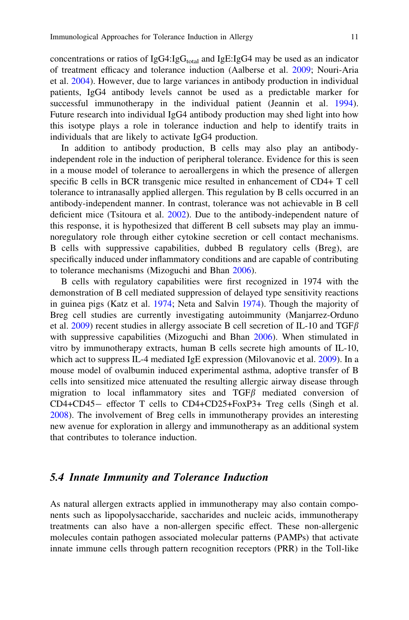<span id="page-10-0"></span>concentrations or ratios of  $I_{\text{g}}G_{\text{d}}T_{\text{total}}$  and  $I_{\text{g}}E$ :IgG4 may be used as an indicator of treatment efficacy and tolerance induction (Aalberse et al. [2009](#page-18-0); Nouri-Aria et al. [2004\)](#page-22-0). However, due to large variances in antibody production in individual patients, IgG4 antibody levels cannot be used as a predictable marker for successful immunotherapy in the individual patient (Jeannin et al. [1994\)](#page-20-0). Future research into individual IgG4 antibody production may shed light into how this isotype plays a role in tolerance induction and help to identify traits in individuals that are likely to activate IgG4 production.

In addition to antibody production, B cells may also play an antibodyindependent role in the induction of peripheral tolerance. Evidence for this is seen in a mouse model of tolerance to aeroallergens in which the presence of allergen specific B cells in BCR transgenic mice resulted in enhancement of CD4+ T cell tolerance to intranasally applied allergen. This regulation by B cells occurred in an antibody-independent manner. In contrast, tolerance was not achievable in B cell deficient mice (Tsitoura et al. [2002](#page-24-0)). Due to the antibody-independent nature of this response, it is hypothesized that different B cell subsets may play an immunoregulatory role through either cytokine secretion or cell contact mechanisms. B cells with suppressive capabilities, dubbed B regulatory cells (Breg), are specifically induced under inflammatory conditions and are capable of contributing to tolerance mechanisms (Mizoguchi and Bhan [2006](#page-22-0)).

B cells with regulatory capabilities were first recognized in 1974 with the demonstration of B cell mediated suppression of delayed type sensitivity reactions in guinea pigs (Katz et al. [1974;](#page-21-0) Neta and Salvin [1974](#page-22-0)). Though the majority of Breg cell studies are currently investigating autoimmunity (Manjarrez-Orduno et al. [2009\)](#page-21-0) recent studies in allergy associate B cell secretion of IL-10 and TGF $\beta$ with suppressive capabilities (Mizoguchi and Bhan [2006\)](#page-22-0). When stimulated in vitro by immunotherapy extracts, human B cells secrete high amounts of IL-10, which act to suppress IL-4 mediated IgE expression (Milovanovic et al. [2009](#page-22-0)). In a mouse model of ovalbumin induced experimental asthma, adoptive transfer of B cells into sensitized mice attenuated the resulting allergic airway disease through migration to local inflammatory sites and  $TGF\beta$  mediated conversion of CD4+CD45- effector T cells to CD4+CD25+FoxP3+ Treg cells (Singh et al. [2008\)](#page-23-0). The involvement of Breg cells in immunotherapy provides an interesting new avenue for exploration in allergy and immunotherapy as an additional system that contributes to tolerance induction.

#### 5.4 Innate Immunity and Tolerance Induction

As natural allergen extracts applied in immunotherapy may also contain components such as lipopolysaccharide, saccharides and nucleic acids, immunotherapy treatments can also have a non-allergen specific effect. These non-allergenic molecules contain pathogen associated molecular patterns (PAMPs) that activate innate immune cells through pattern recognition receptors (PRR) in the Toll-like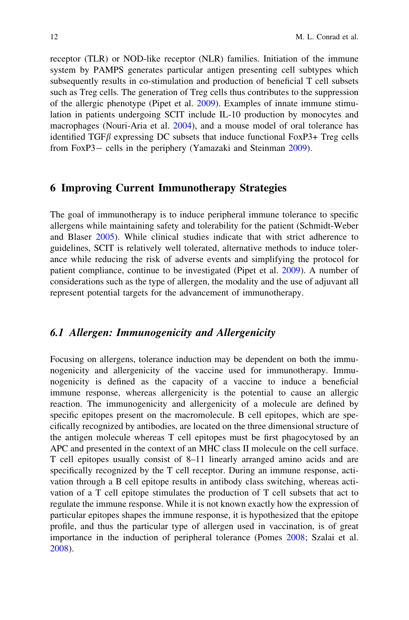<span id="page-11-0"></span>receptor (TLR) or NOD-like receptor (NLR) families. Initiation of the immune system by PAMPS generates particular antigen presenting cell subtypes which subsequently results in co-stimulation and production of beneficial T cell subsets such as Treg cells. The generation of Treg cells thus contributes to the suppression of the allergic phenotype (Pipet et al. [2009\)](#page-23-0). Examples of innate immune stimulation in patients undergoing SCIT include IL-10 production by monocytes and macrophages (Nouri-Aria et al. [2004](#page-22-0)), and a mouse model of oral tolerance has identified  $TGF\beta$  expressing DC subsets that induce functional FoxP3+ Treg cells from FoxP3- cells in the periphery (Yamazaki and Steinman [2009](#page-25-0)).

#### 6 Improving Current Immunotherapy Strategies

The goal of immunotherapy is to induce peripheral immune tolerance to specific allergens while maintaining safety and tolerability for the patient (Schmidt-Weber and Blaser [2005](#page-23-0)). While clinical studies indicate that with strict adherence to guidelines, SCIT is relatively well tolerated, alternative methods to induce tolerance while reducing the risk of adverse events and simplifying the protocol for patient compliance, continue to be investigated (Pipet et al. [2009\)](#page-23-0). A number of considerations such as the type of allergen, the modality and the use of adjuvant all represent potential targets for the advancement of immunotherapy.

### 6.1 Allergen: Immunogenicity and Allergenicity

Focusing on allergens, tolerance induction may be dependent on both the immunogenicity and allergenicity of the vaccine used for immunotherapy. Immunogenicity is defined as the capacity of a vaccine to induce a beneficial immune response, whereas allergenicity is the potential to cause an allergic reaction. The immunogenicity and allergenicity of a molecule are defined by specific epitopes present on the macromolecule. B cell epitopes, which are specifically recognized by antibodies, are located on the three dimensional structure of the antigen molecule whereas T cell epitopes must be first phagocytosed by an APC and presented in the context of an MHC class II molecule on the cell surface. T cell epitopes usually consist of 8–11 linearly arranged amino acids and are specifically recognized by the T cell receptor. During an immune response, activation through a B cell epitope results in antibody class switching, whereas activation of a T cell epitope stimulates the production of T cell subsets that act to regulate the immune response. While it is not known exactly how the expression of particular epitopes shapes the immune response, it is hypothesized that the epitope profile, and thus the particular type of allergen used in vaccination, is of great importance in the induction of peripheral tolerance (Pomes [2008;](#page-23-0) Szalai et al. [2008\)](#page-24-0).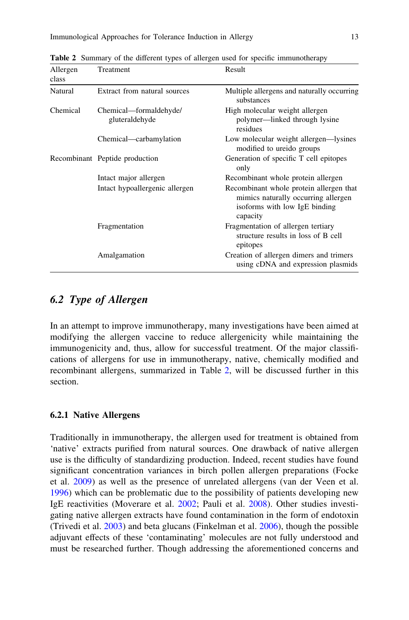| Allergen<br>class | Treatment                                | Result                                                                                                                      |
|-------------------|------------------------------------------|-----------------------------------------------------------------------------------------------------------------------------|
| Natural           | Extract from natural sources             | Multiple allergens and naturally occurring<br>substances                                                                    |
| Chemical          | Chemical—formaldehyde/<br>gluteraldehyde | High molecular weight allergen<br>polymer—linked through lysine<br>residues                                                 |
|                   | Chemical—carbamylation                   | Low molecular weight allergen—lysines<br>modified to ureido groups                                                          |
|                   | Recombinant Peptide production           | Generation of specific T cell epitopes<br>only                                                                              |
|                   | Intact major allergen                    | Recombinant whole protein allergen                                                                                          |
|                   | Intact hypoallergenic allergen           | Recombinant whole protein allergen that<br>mimics naturally occurring allergen<br>isoforms with low IgE binding<br>capacity |
|                   | Fragmentation                            | Fragmentation of allergen tertiary<br>structure results in loss of B cell<br>epitopes                                       |
|                   | Amalgamation                             | Creation of allergen dimers and trimers<br>using cDNA and expression plasmids                                               |

<span id="page-12-0"></span>Table 2 Summary of the different types of allergen used for specific immunotherapy

## 6.2 Type of Allergen

In an attempt to improve immunotherapy, many investigations have been aimed at modifying the allergen vaccine to reduce allergenicity while maintaining the immunogenicity and, thus, allow for successful treatment. Of the major classifications of allergens for use in immunotherapy, native, chemically modified and recombinant allergens, summarized in Table 2, will be discussed further in this section.

#### 6.2.1 Native Allergens

Traditionally in immunotherapy, the allergen used for treatment is obtained from 'native' extracts purified from natural sources. One drawback of native allergen use is the difficulty of standardizing production. Indeed, recent studies have found significant concentration variances in birch pollen allergen preparations (Focke et al. [2009\)](#page-20-0) as well as the presence of unrelated allergens (van der Veen et al. [1996\)](#page-24-0) which can be problematic due to the possibility of patients developing new IgE reactivities (Moverare et al. [2002](#page-22-0); Pauli et al. [2008](#page-23-0)). Other studies investigating native allergen extracts have found contamination in the form of endotoxin (Trivedi et al. [2003\)](#page-24-0) and beta glucans (Finkelman et al. [2006\)](#page-20-0), though the possible adjuvant effects of these 'contaminating' molecules are not fully understood and must be researched further. Though addressing the aforementioned concerns and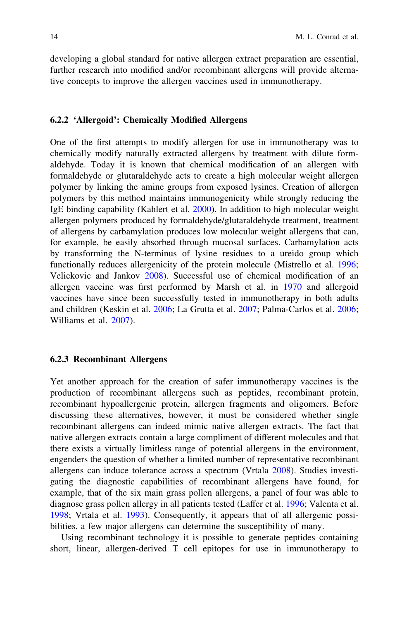developing a global standard for native allergen extract preparation are essential, further research into modified and/or recombinant allergens will provide alternative concepts to improve the allergen vaccines used in immunotherapy.

#### 6.2.2 'Allergoid': Chemically Modified Allergens

One of the first attempts to modify allergen for use in immunotherapy was to chemically modify naturally extracted allergens by treatment with dilute formaldehyde. Today it is known that chemical modification of an allergen with formaldehyde or glutaraldehyde acts to create a high molecular weight allergen polymer by linking the amine groups from exposed lysines. Creation of allergen polymers by this method maintains immunogenicity while strongly reducing the IgE binding capability (Kahlert et al. [2000](#page-21-0)). In addition to high molecular weight allergen polymers produced by formaldehyde/glutaraldehyde treatment, treatment of allergens by carbamylation produces low molecular weight allergens that can, for example, be easily absorbed through mucosal surfaces. Carbamylation acts by transforming the N-terminus of lysine residues to a ureido group which functionally reduces allergenicity of the protein molecule (Mistrello et al. [1996;](#page-22-0) Velickovic and Jankov [2008\)](#page-24-0). Successful use of chemical modification of an allergen vaccine was first performed by Marsh et al. in [1970](#page-22-0) and allergoid vaccines have since been successfully tested in immunotherapy in both adults and children (Keskin et al. [2006;](#page-21-0) La Grutta et al. [2007](#page-21-0); Palma-Carlos et al. [2006;](#page-22-0) Williams et al. [2007\)](#page-25-0).

#### 6.2.3 Recombinant Allergens

Yet another approach for the creation of safer immunotherapy vaccines is the production of recombinant allergens such as peptides, recombinant protein, recombinant hypoallergenic protein, allergen fragments and oligomers. Before discussing these alternatives, however, it must be considered whether single recombinant allergens can indeed mimic native allergen extracts. The fact that native allergen extracts contain a large compliment of different molecules and that there exists a virtually limitless range of potential allergens in the environment, engenders the question of whether a limited number of representative recombinant allergens can induce tolerance across a spectrum (Vrtala [2008\)](#page-24-0). Studies investigating the diagnostic capabilities of recombinant allergens have found, for example, that of the six main grass pollen allergens, a panel of four was able to diagnose grass pollen allergy in all patients tested (Laffer et al. [1996](#page-21-0); Valenta et al. [1998;](#page-24-0) Vrtala et al. [1993\)](#page-25-0). Consequently, it appears that of all allergenic possibilities, a few major allergens can determine the susceptibility of many.

Using recombinant technology it is possible to generate peptides containing short, linear, allergen-derived T cell epitopes for use in immunotherapy to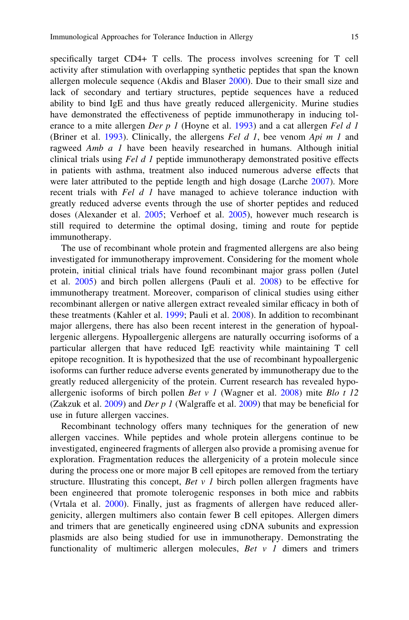specifically target CD4+ T cells. The process involves screening for T cell activity after stimulation with overlapping synthetic peptides that span the known allergen molecule sequence (Akdis and Blaser [2000\)](#page-18-0). Due to their small size and lack of secondary and tertiary structures, peptide sequences have a reduced ability to bind IgE and thus have greatly reduced allergenicity. Murine studies have demonstrated the effectiveness of peptide immunotherapy in inducing tol-erance to a mite allergen Der p 1 (Hoyne et al. [1993](#page-20-0)) and a cat allergen Fel d 1 (Briner et al. [1993](#page-18-0)). Clinically, the allergens Fel d 1, bee venom Api  $m_1$  and ragweed Amb a 1 have been heavily researched in humans. Although initial clinical trials using Fel d 1 peptide immunotherapy demonstrated positive effects in patients with asthma, treatment also induced numerous adverse effects that were later attributed to the peptide length and high dosage (Larche [2007\)](#page-21-0). More recent trials with Fel d 1 have managed to achieve tolerance induction with greatly reduced adverse events through the use of shorter peptides and reduced doses (Alexander et al. [2005;](#page-18-0) Verhoef et al. [2005\)](#page-24-0), however much research is still required to determine the optimal dosing, timing and route for peptide immunotherapy.

The use of recombinant whole protein and fragmented allergens are also being investigated for immunotherapy improvement. Considering for the moment whole protein, initial clinical trials have found recombinant major grass pollen (Jutel et al. [2005\)](#page-20-0) and birch pollen allergens (Pauli et al. [2008\)](#page-23-0) to be effective for immunotherapy treatment. Moreover, comparison of clinical studies using either recombinant allergen or native allergen extract revealed similar efficacy in both of these treatments (Kahler et al. [1999;](#page-21-0) Pauli et al. [2008](#page-23-0)). In addition to recombinant major allergens, there has also been recent interest in the generation of hypoallergenic allergens. Hypoallergenic allergens are naturally occurring isoforms of a particular allergen that have reduced IgE reactivity while maintaining T cell epitope recognition. It is hypothesized that the use of recombinant hypoallergenic isoforms can further reduce adverse events generated by immunotherapy due to the greatly reduced allergenicity of the protein. Current research has revealed hypoallergenic isoforms of birch pollen Bet v 1 (Wagner et al.  $2008$ ) mite Blo t 12 (Zakzuk et al. [2009](#page-25-0)) and *Der p 1* (Walgraffe et al. [2009\)](#page-25-0) that may be beneficial for use in future allergen vaccines.

Recombinant technology offers many techniques for the generation of new allergen vaccines. While peptides and whole protein allergens continue to be investigated, engineered fragments of allergen also provide a promising avenue for exploration. Fragmentation reduces the allergenicity of a protein molecule since during the process one or more major B cell epitopes are removed from the tertiary structure. Illustrating this concept, *Bet v 1* birch pollen allergen fragments have been engineered that promote tolerogenic responses in both mice and rabbits (Vrtala et al. [2000\)](#page-25-0). Finally, just as fragments of allergen have reduced allergenicity, allergen multimers also contain fewer B cell epitopes. Allergen dimers and trimers that are genetically engineered using cDNA subunits and expression plasmids are also being studied for use in immunotherapy. Demonstrating the functionality of multimeric allergen molecules,  $Set \, v \, l$  dimers and trimers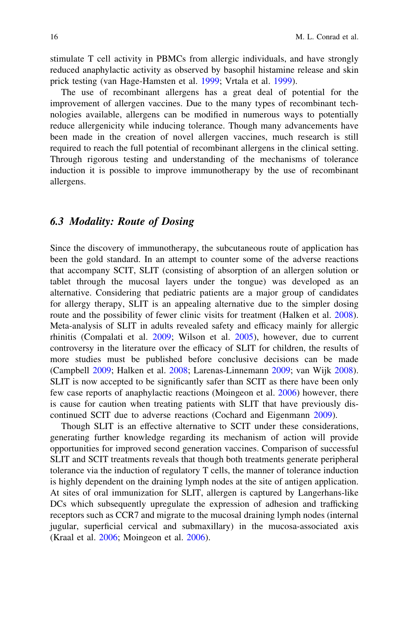<span id="page-15-0"></span>stimulate T cell activity in PBMCs from allergic individuals, and have strongly reduced anaphylactic activity as observed by basophil histamine release and skin prick testing (van Hage-Hamsten et al. [1999;](#page-24-0) Vrtala et al. [1999](#page-25-0)).

The use of recombinant allergens has a great deal of potential for the improvement of allergen vaccines. Due to the many types of recombinant technologies available, allergens can be modified in numerous ways to potentially reduce allergenicity while inducing tolerance. Though many advancements have been made in the creation of novel allergen vaccines, much research is still required to reach the full potential of recombinant allergens in the clinical setting. Through rigorous testing and understanding of the mechanisms of tolerance induction it is possible to improve immunotherapy by the use of recombinant allergens.

### 6.3 Modality: Route of Dosing

Since the discovery of immunotherapy, the subcutaneous route of application has been the gold standard. In an attempt to counter some of the adverse reactions that accompany SCIT, SLIT (consisting of absorption of an allergen solution or tablet through the mucosal layers under the tongue) was developed as an alternative. Considering that pediatric patients are a major group of candidates for allergy therapy, SLIT is an appealing alternative due to the simpler dosing route and the possibility of fewer clinic visits for treatment (Halken et al. [2008\)](#page-20-0). Meta-analysis of SLIT in adults revealed safety and efficacy mainly for allergic rhinitis (Compalati et al. [2009](#page-19-0); Wilson et al. [2005](#page-25-0)), however, due to current controversy in the literature over the efficacy of SLIT for children, the results of more studies must be published before conclusive decisions can be made (Campbell [2009;](#page-19-0) Halken et al. [2008;](#page-20-0) Larenas-Linnemann [2009](#page-21-0); van Wijk [2008\)](#page-24-0). SLIT is now accepted to be significantly safer than SCIT as there have been only few case reports of anaphylactic reactions (Moingeon et al. [2006\)](#page-22-0) however, there is cause for caution when treating patients with SLIT that have previously discontinued SCIT due to adverse reactions (Cochard and Eigenmann [2009](#page-19-0)).

Though SLIT is an effective alternative to SCIT under these considerations, generating further knowledge regarding its mechanism of action will provide opportunities for improved second generation vaccines. Comparison of successful SLIT and SCIT treatments reveals that though both treatments generate peripheral tolerance via the induction of regulatory T cells, the manner of tolerance induction is highly dependent on the draining lymph nodes at the site of antigen application. At sites of oral immunization for SLIT, allergen is captured by Langerhans-like DCs which subsequently upregulate the expression of adhesion and trafficking receptors such as CCR7 and migrate to the mucosal draining lymph nodes (internal jugular, superficial cervical and submaxillary) in the mucosa-associated axis (Kraal et al. [2006](#page-21-0); Moingeon et al. [2006\)](#page-22-0).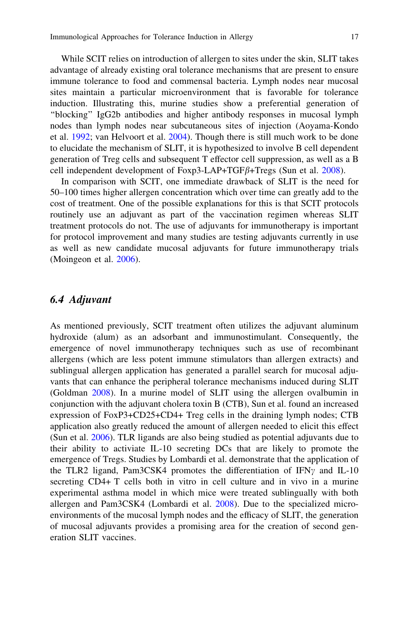<span id="page-16-0"></span>While SCIT relies on introduction of allergen to sites under the skin, SLIT takes advantage of already existing oral tolerance mechanisms that are present to ensure immune tolerance to food and commensal bacteria. Lymph nodes near mucosal sites maintain a particular microenvironment that is favorable for tolerance induction. Illustrating this, murine studies show a preferential generation of ''blocking'' IgG2b antibodies and higher antibody responses in mucosal lymph nodes than lymph nodes near subcutaneous sites of injection (Aoyama-Kondo et al. [1992;](#page-18-0) van Helvoort et al. [2004](#page-24-0)). Though there is still much work to be done to elucidate the mechanism of SLIT, it is hypothesized to involve B cell dependent generation of Treg cells and subsequent T effector cell suppression, as well as a B cell independent development of Foxp3-LAP+TGF $\beta$ +Tregs (Sun et al. [2008\)](#page-24-0).

In comparison with SCIT, one immediate drawback of SLIT is the need for 50–100 times higher allergen concentration which over time can greatly add to the cost of treatment. One of the possible explanations for this is that SCIT protocols routinely use an adjuvant as part of the vaccination regimen whereas SLIT treatment protocols do not. The use of adjuvants for immunotherapy is important for protocol improvement and many studies are testing adjuvants currently in use as well as new candidate mucosal adjuvants for future immunotherapy trials (Moingeon et al. [2006](#page-22-0)).

#### 6.4 Adjuvant

As mentioned previously, SCIT treatment often utilizes the adjuvant aluminum hydroxide (alum) as an adsorbant and immunostimulant. Consequently, the emergence of novel immunotherapy techniques such as use of recombinant allergens (which are less potent immune stimulators than allergen extracts) and sublingual allergen application has generated a parallel search for mucosal adjuvants that can enhance the peripheral tolerance mechanisms induced during SLIT (Goldman [2008\)](#page-20-0). In a murine model of SLIT using the allergen ovalbumin in conjunction with the adjuvant cholera toxin B (CTB), Sun et al. found an increased expression of FoxP3+CD25+CD4+ Treg cells in the draining lymph nodes; CTB application also greatly reduced the amount of allergen needed to elicit this effect (Sun et al. [2006\)](#page-24-0). TLR ligands are also being studied as potential adjuvants due to their ability to activiate IL-10 secreting DCs that are likely to promote the emergence of Tregs. Studies by Lombardi et al. demonstrate that the application of the TLR2 ligand, Pam3CSK4 promotes the differentiation of IFN $\gamma$  and IL-10 secreting CD4+ T cells both in vitro in cell culture and in vivo in a murine experimental asthma model in which mice were treated sublingually with both allergen and Pam3CSK4 (Lombardi et al. [2008\)](#page-21-0). Due to the specialized microenvironments of the mucosal lymph nodes and the efficacy of SLIT, the generation of mucosal adjuvants provides a promising area for the creation of second generation SLIT vaccines.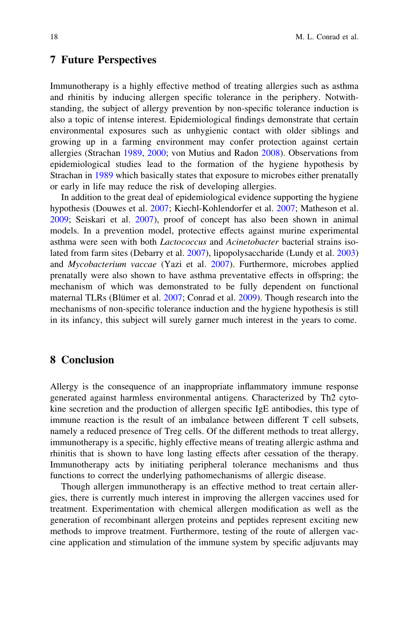#### <span id="page-17-0"></span>7 Future Perspectives

Immunotherapy is a highly effective method of treating allergies such as asthma and rhinitis by inducing allergen specific tolerance in the periphery. Notwithstanding, the subject of allergy prevention by non-specific tolerance induction is also a topic of intense interest. Epidemiological findings demonstrate that certain environmental exposures such as unhygienic contact with older siblings and growing up in a farming environment may confer protection against certain allergies (Strachan [1989,](#page-23-0) [2000](#page-23-0); von Mutius and Radon [2008](#page-24-0)). Observations from epidemiological studies lead to the formation of the hygiene hypothesis by Strachan in [1989](#page-23-0) which basically states that exposure to microbes either prenatally or early in life may reduce the risk of developing allergies.

In addition to the great deal of epidemiological evidence supporting the hygiene hypothesis (Douwes et al. [2007;](#page-19-0) Kiechl-Kohlendorfer et al. [2007](#page-21-0); Matheson et al. [2009;](#page-22-0) Seiskari et al. [2007](#page-23-0)), proof of concept has also been shown in animal models. In a prevention model, protective effects against murine experimental asthma were seen with both *Lactococcus* and *Acinetobacter* bacterial strains isolated from farm sites (Debarry et al. [2007](#page-19-0)), lipopolysaccharide (Lundy et al. [2003](#page-21-0)) and Mycobacterium vaccae (Yazi et al. [2007\)](#page-25-0). Furthermore, microbes applied prenatally were also shown to have asthma preventative effects in offspring; the mechanism of which was demonstrated to be fully dependent on functional maternal TLRs (Blümer et al. [2007;](#page-18-0) Conrad et al. [2009](#page-19-0)). Though research into the mechanisms of non-specific tolerance induction and the hygiene hypothesis is still in its infancy, this subject will surely garner much interest in the years to come.

### 8 Conclusion

Allergy is the consequence of an inappropriate inflammatory immune response generated against harmless environmental antigens. Characterized by Th2 cytokine secretion and the production of allergen specific IgE antibodies, this type of immune reaction is the result of an imbalance between different T cell subsets, namely a reduced presence of Treg cells. Of the different methods to treat allergy, immunotherapy is a specific, highly effective means of treating allergic asthma and rhinitis that is shown to have long lasting effects after cessation of the therapy. Immunotherapy acts by initiating peripheral tolerance mechanisms and thus functions to correct the underlying pathomechanisms of allergic disease.

Though allergen immunotherapy is an effective method to treat certain allergies, there is currently much interest in improving the allergen vaccines used for treatment. Experimentation with chemical allergen modification as well as the generation of recombinant allergen proteins and peptides represent exciting new methods to improve treatment. Furthermore, testing of the route of allergen vaccine application and stimulation of the immune system by specific adjuvants may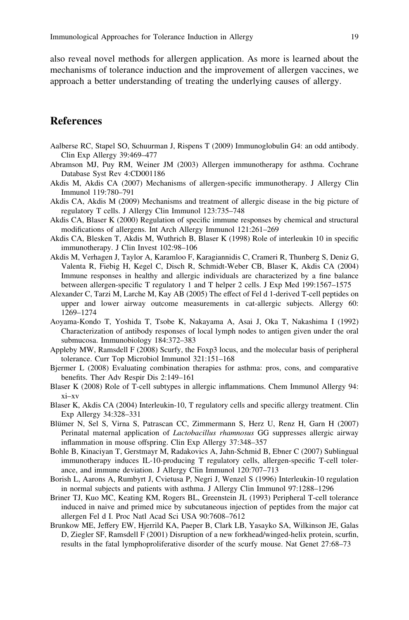<span id="page-18-0"></span>also reveal novel methods for allergen application. As more is learned about the mechanisms of tolerance induction and the improvement of allergen vaccines, we approach a better understanding of treating the underlying causes of allergy.

#### References

- Aalberse RC, Stapel SO, Schuurman J, Rispens T (2009) Immunoglobulin G4: an odd antibody. Clin Exp Allergy 39:469–477
- Abramson MJ, Puy RM, Weiner JM (2003) Allergen immunotherapy for asthma. Cochrane Database Syst Rev 4:CD001186
- Akdis M, Akdis CA (2007) Mechanisms of allergen-specific immunotherapy. J Allergy Clin Immunol 119:780–791
- Akdis CA, Akdis M (2009) Mechanisms and treatment of allergic disease in the big picture of regulatory T cells. J Allergy Clin Immunol 123:735–748
- Akdis CA, Blaser K (2000) Regulation of specific immune responses by chemical and structural modifications of allergens. Int Arch Allergy Immunol 121:261–269
- Akdis CA, Blesken T, Akdis M, Wuthrich B, Blaser K (1998) Role of interleukin 10 in specific immunotherapy. J Clin Invest 102:98–106
- Akdis M, Verhagen J, Taylor A, Karamloo F, Karagiannidis C, Crameri R, Thunberg S, Deniz G, Valenta R, Fiebig H, Kegel C, Disch R, Schmidt-Weber CB, Blaser K, Akdis CA (2004) Immune responses in healthy and allergic individuals are characterized by a fine balance between allergen-specific T regulatory 1 and T helper 2 cells. J Exp Med 199:1567–1575
- Alexander C, Tarzi M, Larche M, Kay AB (2005) The effect of Fel d 1-derived T-cell peptides on upper and lower airway outcome measurements in cat-allergic subjects. Allergy 60: 1269–1274
- Aoyama-Kondo T, Yoshida T, Tsobe K, Nakayama A, Asai J, Oka T, Nakashima I (1992) Characterization of antibody responses of local lymph nodes to antigen given under the oral submucosa. Immunobiology 184:372–383
- Appleby MW, Ramsdell F (2008) Scurfy, the Foxp3 locus, and the molecular basis of peripheral tolerance. Curr Top Microbiol Immunol 321:151–168
- Bjermer L (2008) Evaluating combination therapies for asthma: pros, cons, and comparative benefits. Ther Adv Respir Dis 2:149–161
- Blaser K (2008) Role of T-cell subtypes in allergic inflammations. Chem Immunol Allergy 94: xi–xv
- Blaser K, Akdis CA (2004) Interleukin-10, T regulatory cells and specific allergy treatment. Clin Exp Allergy 34:328–331
- Blümer N, Sel S, Virna S, Patrascan CC, Zimmermann S, Herz U, Renz H, Garn H (2007) Perinatal maternal application of Lactobacillus rhamnosus GG suppresses allergic airway inflammation in mouse offspring. Clin Exp Allergy 37:348–357
- Bohle B, Kinaciyan T, Gerstmayr M, Radakovics A, Jahn-Schmid B, Ebner C (2007) Sublingual immunotherapy induces IL-10-producing T regulatory cells, allergen-specific T-cell tolerance, and immune deviation. J Allergy Clin Immunol 120:707–713
- Borish L, Aarons A, Rumbyrt J, Cvietusa P, Negri J, Wenzel S (1996) Interleukin-10 regulation in normal subjects and patients with asthma. J Allergy Clin Immunol 97:1288–1296
- Briner TJ, Kuo MC, Keating KM, Rogers BL, Greenstein JL (1993) Peripheral T-cell tolerance induced in naive and primed mice by subcutaneous injection of peptides from the major cat allergen Fel d I. Proc Natl Acad Sci USA 90:7608–7612
- Brunkow ME, Jeffery EW, Hjerrild KA, Paeper B, Clark LB, Yasayko SA, Wilkinson JE, Galas D, Ziegler SF, Ramsdell F (2001) Disruption of a new forkhead/winged-helix protein, scurfin, results in the fatal lymphoproliferative disorder of the scurfy mouse. Nat Genet 27:68–73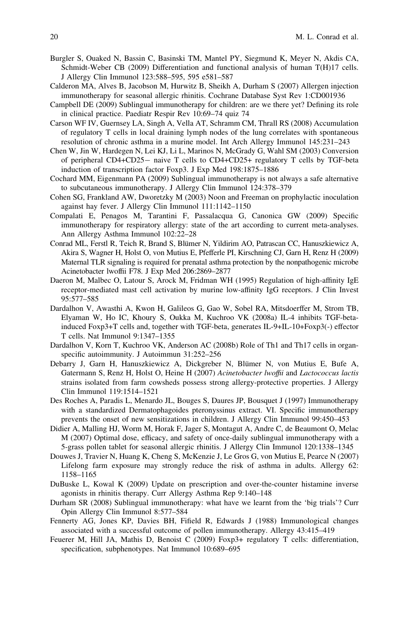- <span id="page-19-0"></span>Burgler S, Ouaked N, Bassin C, Basinski TM, Mantel PY, Siegmund K, Meyer N, Akdis CA, Schmidt-Weber CB (2009) Differentiation and functional analysis of human T(H)17 cells. J Allergy Clin Immunol 123:588–595, 595 e581–587
- Calderon MA, Alves B, Jacobson M, Hurwitz B, Sheikh A, Durham S (2007) Allergen injection immunotherapy for seasonal allergic rhinitis. Cochrane Database Syst Rev 1:CD001936
- Campbell DE (2009) Sublingual immunotherapy for children: are we there yet? Defining its role in clinical practice. Paediatr Respir Rev 10:69–74 quiz 74
- Carson WF IV, Guernsey LA, Singh A, Vella AT, Schramm CM, Thrall RS (2008) Accumulation of regulatory T cells in local draining lymph nodes of the lung correlates with spontaneous resolution of chronic asthma in a murine model. Int Arch Allergy Immunol 145:231–243
- Chen W, Jin W, Hardegen N, Lei KJ, Li L, Marinos N, McGrady G, Wahl SM (2003) Conversion of peripheral CD4+CD25- naive T cells to CD4+CD25+ regulatory T cells by TGF-beta induction of transcription factor Foxp3. J Exp Med 198:1875–1886
- Cochard MM, Eigenmann PA (2009) Sublingual immunotherapy is not always a safe alternative to subcutaneous immunotherapy. J Allergy Clin Immunol 124:378–379
- Cohen SG, Frankland AW, Dworetzky M (2003) Noon and Freeman on prophylactic inoculation against hay fever. J Allergy Clin Immunol 111:1142–1150
- Compalati E, Penagos M, Tarantini F, Passalacqua G, Canonica GW (2009) Specific immunotherapy for respiratory allergy: state of the art according to current meta-analyses. Ann Allergy Asthma Immunol 102:22–28
- Conrad ML, Ferstl R, Teich R, Brand S, Blümer N, Yildirim AO, Patrascan CC, Hanuszkiewicz A, Akira S, Wagner H, Holst O, von Mutius E, Pfefferle PI, Kirschning CJ, Garn H, Renz H (2009) Maternal TLR signaling is required for prenatal asthma protection by the nonpathogenic microbe Acinetobacter lwoffii F78. J Exp Med 206:2869–2877
- Daeron M, Malbec O, Latour S, Arock M, Fridman WH (1995) Regulation of high-affinity IgE receptor-mediated mast cell activation by murine low-affinity IgG receptors. J Clin Invest 95:577–585
- Dardalhon V, Awasthi A, Kwon H, Galileos G, Gao W, Sobel RA, Mitsdoerffer M, Strom TB, Elyaman W, Ho IC, Khoury S, Oukka M, Kuchroo VK (2008a) IL-4 inhibits TGF-betainduced Foxp3+T cells and, together with TGF-beta, generates IL-9+IL-10+Foxp3(-) effector T cells. Nat Immunol 9:1347–1355
- Dardalhon V, Korn T, Kuchroo VK, Anderson AC (2008b) Role of Th1 and Th17 cells in organspecific autoimmunity. J Autoimmun 31:252–256
- Debarry J, Garn H, Hanuszkiewicz A, Dickgreber N, Blümer N, von Mutius E, Bufe A, Gatermann S, Renz H, Holst O, Heine H (2007) Acinetobacter lwoffii and Lactococcus lactis strains isolated from farm cowsheds possess strong allergy-protective properties. J Allergy Clin Immunol 119:1514–1521
- Des Roches A, Paradis L, Menardo JL, Bouges S, Daures JP, Bousquet J (1997) Immunotherapy with a standardized Dermatophagoides pteronyssinus extract. VI. Specific immunotherapy prevents the onset of new sensitizations in children. J Allergy Clin Immunol 99:450–453
- Didier A, Malling HJ, Worm M, Horak F, Jager S, Montagut A, Andre C, de Beaumont O, Melac M (2007) Optimal dose, efficacy, and safety of once-daily sublingual immunotherapy with a 5-grass pollen tablet for seasonal allergic rhinitis. J Allergy Clin Immunol 120:1338–1345
- Douwes J, Travier N, Huang K, Cheng S, McKenzie J, Le Gros G, von Mutius E, Pearce N (2007) Lifelong farm exposure may strongly reduce the risk of asthma in adults. Allergy 62: 1158–1165
- DuBuske L, Kowal K (2009) Update on prescription and over-the-counter histamine inverse agonists in rhinitis therapy. Curr Allergy Asthma Rep 9:140–148
- Durham SR (2008) Sublingual immunotherapy: what have we learnt from the 'big trials'? Curr Opin Allergy Clin Immunol 8:577–584
- Fennerty AG, Jones KP, Davies BH, Fifield R, Edwards J (1988) Immunological changes associated with a successful outcome of pollen immunotherapy. Allergy 43:415–419
- Feuerer M, Hill JA, Mathis D, Benoist C (2009) Foxp3+ regulatory T cells: differentiation, specification, subphenotypes. Nat Immunol 10:689–695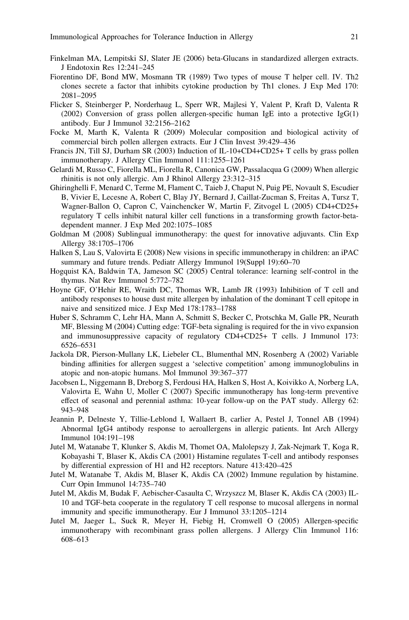- <span id="page-20-0"></span>Finkelman MA, Lempitski SJ, Slater JE (2006) beta-Glucans in standardized allergen extracts. J Endotoxin Res 12:241–245
- Fiorentino DF, Bond MW, Mosmann TR (1989) Two types of mouse T helper cell. IV. Th2 clones secrete a factor that inhibits cytokine production by Th1 clones. J Exp Med 170: 2081–2095
- Flicker S, Steinberger P, Norderhaug L, Sperr WR, Majlesi Y, Valent P, Kraft D, Valenta R (2002) Conversion of grass pollen allergen-specific human IgE into a protective IgG(1) antibody. Eur J Immunol 32:2156–2162
- Focke M, Marth K, Valenta R (2009) Molecular composition and biological activity of commercial birch pollen allergen extracts. Eur J Clin Invest 39:429–436
- Francis JN, Till SJ, Durham SR (2003) Induction of IL-10+CD4+CD25+ T cells by grass pollen immunotherapy. J Allergy Clin Immunol 111:1255–1261
- Gelardi M, Russo C, Fiorella ML, Fiorella R, Canonica GW, Passalacqua G (2009) When allergic rhinitis is not only allergic. Am J Rhinol Allergy 23:312–315
- Ghiringhelli F, Menard C, Terme M, Flament C, Taieb J, Chaput N, Puig PE, Novault S, Escudier B, Vivier E, Lecesne A, Robert C, Blay JY, Bernard J, Caillat-Zucman S, Freitas A, Tursz T, Wagner-Ballon O, Capron C, Vainchencker W, Martin F, Zitvogel L (2005) CD4+CD25+ regulatory T cells inhibit natural killer cell functions in a transforming growth factor-betadependent manner. J Exp Med 202:1075–1085
- Goldman M (2008) Sublingual immunotherapy: the quest for innovative adjuvants. Clin Exp Allergy 38:1705–1706
- Halken S, Lau S, Valovirta E (2008) New visions in specific immunotherapy in children: an iPAC summary and future trends. Pediatr Allergy Immunol 19(Suppl 19):60–70
- Hogquist KA, Baldwin TA, Jameson SC (2005) Central tolerance: learning self-control in the thymus. Nat Rev Immunol 5:772–782
- Hoyne GF, O'Hehir RE, Wraith DC, Thomas WR, Lamb JR (1993) Inhibition of T cell and antibody responses to house dust mite allergen by inhalation of the dominant T cell epitope in naive and sensitized mice. J Exp Med 178:1783–1788
- Huber S, Schramm C, Lehr HA, Mann A, Schmitt S, Becker C, Protschka M, Galle PR, Neurath MF, Blessing M (2004) Cutting edge: TGF-beta signaling is required for the in vivo expansion and immunosuppressive capacity of regulatory CD4+CD25+ T cells. J Immunol 173: 6526–6531
- Jackola DR, Pierson-Mullany LK, Liebeler CL, Blumenthal MN, Rosenberg A (2002) Variable binding affinities for allergen suggest a 'selective competition' among immunoglobulins in atopic and non-atopic humans. Mol Immunol 39:367–377
- Jacobsen L, Niggemann B, Dreborg S, Ferdousi HA, Halken S, Host A, Koivikko A, Norberg LA, Valovirta E, Wahn U, Moller C (2007) Specific immunotherapy has long-term preventive effect of seasonal and perennial asthma: 10-year follow-up on the PAT study. Allergy 62: 943–948
- Jeannin P, Delneste Y, Tillie-Leblond I, Wallaert B, carlier A, Pestel J, Tonnel AB (1994) Abnormal IgG4 antibody response to aeroallergens in allergic patients. Int Arch Allergy Immunol 104:191–198
- Jutel M, Watanabe T, Klunker S, Akdis M, Thomet OA, Malolepszy J, Zak-Nejmark T, Koga R, Kobayashi T, Blaser K, Akdis CA (2001) Histamine regulates T-cell and antibody responses by differential expression of H1 and H2 receptors. Nature 413:420–425
- Jutel M, Watanabe T, Akdis M, Blaser K, Akdis CA (2002) Immune regulation by histamine. Curr Opin Immunol 14:735–740
- Jutel M, Akdis M, Budak F, Aebischer-Casaulta C, Wrzyszcz M, Blaser K, Akdis CA (2003) IL-10 and TGF-beta cooperate in the regulatory T cell response to mucosal allergens in normal immunity and specific immunotherapy. Eur J Immunol 33:1205–1214
- Jutel M, Jaeger L, Suck R, Meyer H, Fiebig H, Cromwell O (2005) Allergen-specific immunotherapy with recombinant grass pollen allergens. J Allergy Clin Immunol 116: 608–613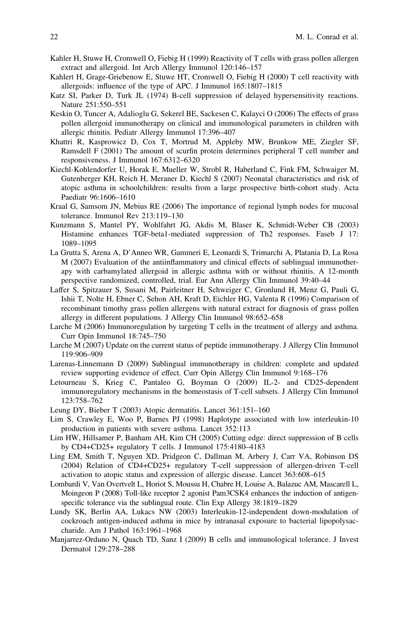- <span id="page-21-0"></span>Kahler H, Stuwe H, Cromwell O, Fiebig H (1999) Reactivity of T cells with grass pollen allergen extract and allergoid. Int Arch Allergy Immunol 120:146–157
- Kahlert H, Grage-Griebenow E, Stuwe HT, Cromwell O, Fiebig H (2000) T cell reactivity with allergoids: influence of the type of APC. J Immunol 165:1807–1815
- Katz SI, Parker D, Turk JL (1974) B-cell suppression of delayed hypersensitivity reactions. Nature 251:550–551
- Keskin O, Tuncer A, Adalioglu G, Sekerel BE, Sackesen C, Kalayci O (2006) The effects of grass pollen allergoid immunotherapy on clinical and immunological parameters in children with allergic rhinitis. Pediatr Allergy Immunol 17:396–407
- Khattri R, Kasprowicz D, Cox T, Mortrud M, Appleby MW, Brunkow ME, Ziegler SF, Ramsdell F (2001) The amount of scurfin protein determines peripheral T cell number and responsiveness. J Immunol 167:6312–6320
- Kiechl-Kohlendorfer U, Horak E, Mueller W, Strobl R, Haberland C, Fink FM, Schwaiger M, Gutenberger KH, Reich H, Meraner D, Kiechl S (2007) Neonatal characteristics and risk of atopic asthma in schoolchildren: results from a large prospective birth-cohort study. Acta Paediatr 96:1606–1610
- Kraal G, Samsom JN, Mebius RE (2006) The importance of regional lymph nodes for mucosal tolerance. Immunol Rev 213:119–130
- Kunzmann S, Mantel PY, Wohlfahrt JG, Akdis M, Blaser K, Schmidt-Weber CB (2003) Histamine enhances TGF-beta1-mediated suppression of Th2 responses. Faseb J 17: 1089–1095
- La Grutta S, Arena A, D'Anneo WR, Gammeri E, Leonardi S, Trimarchi A, Platania D, La Rosa M (2007) Evaluation of the antiinflammatory and clinical effects of sublingual immunotherapy with carbamylated allergoid in allergic asthma with or without rhinitis. A 12-month perspective randomized, controlled, trial. Eur Ann Allergy Clin Immunol 39:40–44
- Laffer S, Spitzauer S, Susani M, Pairleitner H, Schweiger C, Gronlund H, Menz G, Pauli G, Ishii T, Nolte H, Ebner C, Sehon AH, Kraft D, Eichler HG, Valenta R (1996) Comparison of recombinant timothy grass pollen allergens with natural extract for diagnosis of grass pollen allergy in different populations. J Allergy Clin Immunol 98:652–658
- Larche M (2006) Immunoregulation by targeting T cells in the treatment of allergy and asthma. Curr Opin Immunol 18:745–750
- Larche M (2007) Update on the current status of peptide immunotherapy. J Allergy Clin Immunol 119:906–909
- Larenas-Linnemann D (2009) Sublingual immunotherapy in children: complete and updated review supporting evidence of effect. Curr Opin Allergy Clin Immunol 9:168–176
- Letourneau S, Krieg C, Pantaleo G, Boyman O (2009) IL-2- and CD25-dependent immunoregulatory mechanisms in the homeostasis of T-cell subsets. J Allergy Clin Immunol 123:758–762
- Leung DY, Bieber T (2003) Atopic dermatitis. Lancet 361:151–160
- Lim S, Crawley E, Woo P, Barnes PJ (1998) Haplotype associated with low interleukin-10 production in patients with severe asthma. Lancet 352:113
- Lim HW, Hillsamer P, Banham AH, Kim CH (2005) Cutting edge: direct suppression of B cells by CD4+CD25+ regulatory T cells. J Immunol 175:4180–4183
- Ling EM, Smith T, Nguyen XD, Pridgeon C, Dallman M, Arbery J, Carr VA, Robinson DS (2004) Relation of CD4+CD25+ regulatory T-cell suppression of allergen-driven T-cell activation to atopic status and expression of allergic disease. Lancet 363:608–615
- Lombardi V, Van Overtvelt L, Horiot S, Moussu H, Chabre H, Louise A, Balazuc AM, Mascarell L, Moingeon P (2008) Toll-like receptor 2 agonist Pam3CSK4 enhances the induction of antigenspecific tolerance via the sublingual route. Clin Exp Allergy 38:1819–1829
- Lundy SK, Berlin AA, Lukacs NW (2003) Interleukin-12-independent down-modulation of cockroach antigen-induced asthma in mice by intranasal exposure to bacterial lipopolysaccharide. Am J Pathol 163:1961–1968
- Manjarrez-Orduno N, Quach TD, Sanz I (2009) B cells and immunological tolerance. J Invest Dermatol 129:278–288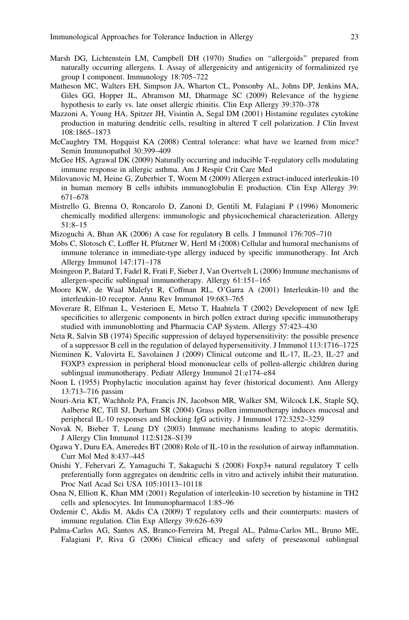- <span id="page-22-0"></span>Marsh DG, Lichtenstein LM, Campbell DH (1970) Studies on ''allergoids'' prepared from naturally occurring allergens. I. Assay of allergenicity and antigenicity of formalinized rye group I component. Immunology 18:705–722
- Matheson MC, Walters EH, Simpson JA, Wharton CL, Ponsonby AL, Johns DP, Jenkins MA, Giles GG, Hopper JL, Abramson MJ, Dharmage SC (2009) Relevance of the hygiene hypothesis to early vs. late onset allergic rhinitis. Clin Exp Allergy 39:370–378
- Mazzoni A, Young HA, Spitzer JH, Visintin A, Segal DM (2001) Histamine regulates cytokine production in maturing dendritic cells, resulting in altered T cell polarization. J Clin Invest 108:1865–1873
- McCaughtry TM, Hogquist KA (2008) Central tolerance: what have we learned from mice? Semin Immunopathol 30:399–409
- McGee HS, Agrawal DK (2009) Naturally occurring and inducible T-regulatory cells modulating immune response in allergic asthma. Am J Respir Crit Care Med
- Milovanovic M, Heine G, Zuberbier T, Worm M (2009) Allergen extract-induced interleukin-10 in human memory B cells inhibits immunoglobulin E production. Clin Exp Allergy 39: 671–678
- Mistrello G, Brenna O, Roncarolo D, Zanoni D, Gentili M, Falagiani P (1996) Monomeric chemically modified allergens: immunologic and physicochemical characterization. Allergy 51:8–15
- Mizoguchi A, Bhan AK (2006) A case for regulatory B cells. J Immunol 176:705–710
- Mobs C, Slotosch C, Loffler H, Pfutzner W, Hertl M (2008) Cellular and humoral mechanisms of immune tolerance in immediate-type allergy induced by specific immunotherapy. Int Arch Allergy Immunol 147:171–178
- Moingeon P, Batard T, Fadel R, Frati F, Sieber J, Van Overtvelt L (2006) Immune mechanisms of allergen-specific sublingual immunotherapy. Allergy 61:151–165
- Moore KW, de Waal Malefyt R, Coffman RL, O'Garra A (2001) Interleukin-10 and the interleukin-10 receptor. Annu Rev Immunol 19:683–765
- Moverare R, Elfman L, Vesterinen E, Metso T, Haahtela T (2002) Development of new IgE specificities to allergenic components in birch pollen extract during specific immunotherapy studied with immunoblotting and Pharmacia CAP System. Allergy 57:423–430
- Neta R, Salvin SB (1974) Specific suppression of delayed hypersensitivity: the possible presence of a suppressor B cell in the regulation of delayed hypersensitivity. J Immunol 113:1716–1725
- Nieminen K, Valovirta E, Savolainen J (2009) Clinical outcome and IL-17, IL-23, IL-27 and FOXP3 expression in peripheral blood mononuclear cells of pollen-allergic children during sublingual immunotherapy. Pediatr Allergy Immunol 21:e174–e84
- Noon L (1955) Prophylactic inoculation against hay fever (historical document). Ann Allergy 13:713–716 passim
- Nouri-Aria KT, Wachholz PA, Francis JN, Jacobson MR, Walker SM, Wilcock LK, Staple SQ, Aalberse RC, Till SJ, Durham SR (2004) Grass pollen immunotherapy induces mucosal and peripheral IL-10 responses and blocking IgG activity. J Immunol 172:3252–3259
- Novak N, Bieber T, Leung DY (2003) Immune mechanisms leading to atopic dermatitis. J Allergy Clin Immunol 112:S128–S139
- Ogawa Y, Duru EA, Ameredes BT (2008) Role of IL-10 in the resolution of airway inflammation. Curr Mol Med 8:437–445
- Onishi Y, Fehervari Z, Yamaguchi T, Sakaguchi S (2008) Foxp3+ natural regulatory T cells preferentially form aggregates on dendritic cells in vitro and actively inhibit their maturation. Proc Natl Acad Sci USA 105:10113–10118
- Osna N, Elliott K, Khan MM (2001) Regulation of interleukin-10 secretion by histamine in TH2 cells and splenocytes. Int Immunopharmacol 1:85–96
- Ozdemir C, Akdis M, Akdis CA (2009) T regulatory cells and their counterparts: masters of immune regulation. Clin Exp Allergy 39:626–639
- Palma-Carlos AG, Santos AS, Branco-Ferreira M, Pregal AL, Palma-Carlos ML, Bruno ME, Falagiani P, Riva G (2006) Clinical efficacy and safety of preseasonal sublingual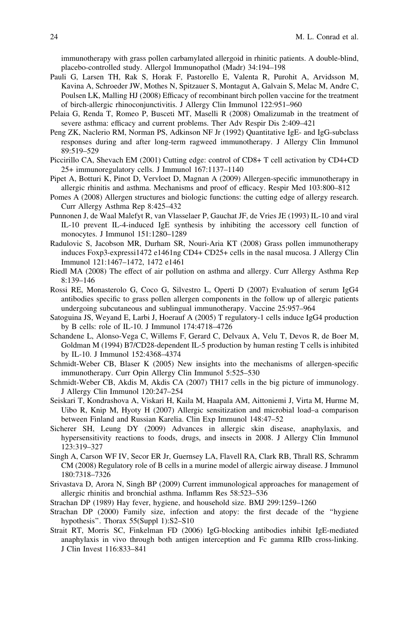<span id="page-23-0"></span>immunotherapy with grass pollen carbamylated allergoid in rhinitic patients. A double-blind, placebo-controlled study. Allergol Immunopathol (Madr) 34:194–198

- Pauli G, Larsen TH, Rak S, Horak F, Pastorello E, Valenta R, Purohit A, Arvidsson M, Kavina A, Schroeder JW, Mothes N, Spitzauer S, Montagut A, Galvain S, Melac M, Andre C, Poulsen LK, Malling HJ (2008) Efficacy of recombinant birch pollen vaccine for the treatment of birch-allergic rhinoconjunctivitis. J Allergy Clin Immunol 122:951–960
- Pelaia G, Renda T, Romeo P, Busceti MT, Maselli R (2008) Omalizumab in the treatment of severe asthma: efficacy and current problems. Ther Adv Respir Dis 2:409–421
- Peng ZK, Naclerio RM, Norman PS, Adkinson NF Jr (1992) Quantitative IgE- and IgG-subclass responses during and after long-term ragweed immunotherapy. J Allergy Clin Immunol 89:519–529
- Piccirillo CA, Shevach EM (2001) Cutting edge: control of CD8+ T cell activation by CD4+CD 25+ immunoregulatory cells. J Immunol 167:1137–1140
- Pipet A, Botturi K, Pinot D, Vervloet D, Magnan A (2009) Allergen-specific immunotherapy in allergic rhinitis and asthma. Mechanisms and proof of efficacy. Respir Med 103:800–812
- Pomes A (2008) Allergen structures and biologic functions: the cutting edge of allergy research. Curr Allergy Asthma Rep 8:425–432
- Punnonen J, de Waal Malefyt R, van Vlasselaer P, Gauchat JF, de Vries JE (1993) IL-10 and viral IL-10 prevent IL-4-induced IgE synthesis by inhibiting the accessory cell function of monocytes. J Immunol 151:1280–1289
- Radulovic S, Jacobson MR, Durham SR, Nouri-Aria KT (2008) Grass pollen immunotherapy induces Foxp3-expressi1472 e1461ng CD4+ CD25+ cells in the nasal mucosa. J Allergy Clin Immunol 121:1467–1472, 1472 e1461
- Riedl MA (2008) The effect of air pollution on asthma and allergy. Curr Allergy Asthma Rep 8:139–146
- Rossi RE, Monasterolo G, Coco G, Silvestro L, Operti D (2007) Evaluation of serum IgG4 antibodies specific to grass pollen allergen components in the follow up of allergic patients undergoing subcutaneous and sublingual immunotherapy. Vaccine 25:957–964
- Satoguina JS, Weyand E, Larbi J, Hoerauf A (2005) T regulatory-1 cells induce IgG4 production by B cells: role of IL-10. J Immunol 174:4718–4726
- Schandene L, Alonso-Vega C, Willems F, Gerard C, Delvaux A, Velu T, Devos R, de Boer M, Goldman M (1994) B7/CD28-dependent IL-5 production by human resting T cells is inhibited by IL-10. J Immunol 152:4368–4374
- Schmidt-Weber CB, Blaser K (2005) New insights into the mechanisms of allergen-specific immunotherapy. Curr Opin Allergy Clin Immunol 5:525–530
- Schmidt-Weber CB, Akdis M, Akdis CA (2007) TH17 cells in the big picture of immunology. J Allergy Clin Immunol 120:247–254
- Seiskari T, Kondrashova A, Viskari H, Kaila M, Haapala AM, Aittoniemi J, Virta M, Hurme M, Uibo R, Knip M, Hyoty H (2007) Allergic sensitization and microbial load–a comparison between Finland and Russian Karelia. Clin Exp Immunol 148:47–52
- Sicherer SH, Leung DY (2009) Advances in allergic skin disease, anaphylaxis, and hypersensitivity reactions to foods, drugs, and insects in 2008. J Allergy Clin Immunol 123:319–327
- Singh A, Carson WF IV, Secor ER Jr, Guernsey LA, Flavell RA, Clark RB, Thrall RS, Schramm CM (2008) Regulatory role of B cells in a murine model of allergic airway disease. J Immunol 180:7318–7326
- Srivastava D, Arora N, Singh BP (2009) Current immunological approaches for management of allergic rhinitis and bronchial asthma. Inflamm Res 58:523–536
- Strachan DP (1989) Hay fever, hygiene, and household size. BMJ 299:1259–1260
- Strachan DP (2000) Family size, infection and atopy: the first decade of the ''hygiene hypothesis''. Thorax 55(Suppl 1):S2–S10
- Strait RT, Morris SC, Finkelman FD (2006) IgG-blocking antibodies inhibit IgE-mediated anaphylaxis in vivo through both antigen interception and Fc gamma RIIb cross-linking. J Clin Invest 116:833–841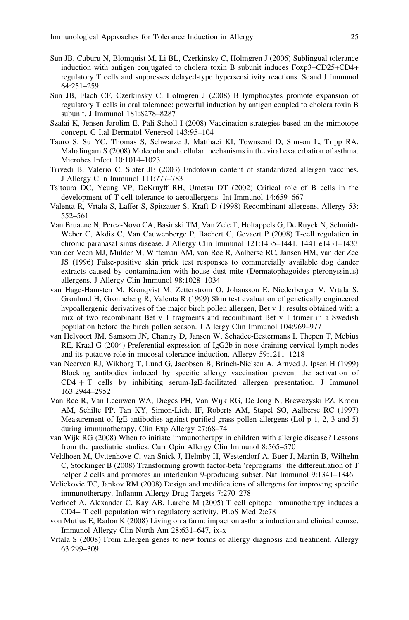- <span id="page-24-0"></span>Sun JB, Cuburu N, Blomquist M, Li BL, Czerkinsky C, Holmgren J (2006) Sublingual tolerance induction with antigen conjugated to cholera toxin B subunit induces Foxp3+CD25+CD4+ regulatory T cells and suppresses delayed-type hypersensitivity reactions. Scand J Immunol 64:251–259
- Sun JB, Flach CF, Czerkinsky C, Holmgren J (2008) B lymphocytes promote expansion of regulatory T cells in oral tolerance: powerful induction by antigen coupled to cholera toxin B subunit. J Immunol 181:8278–8287
- Szalai K, Jensen-Jarolim E, Pali-Scholl I (2008) Vaccination strategies based on the mimotope concept. G Ital Dermatol Venereol 143:95–104
- Tauro S, Su YC, Thomas S, Schwarze J, Matthaei KI, Townsend D, Simson L, Tripp RA, Mahalingam S (2008) Molecular and cellular mechanisms in the viral exacerbation of asthma. Microbes Infect 10:1014–1023
- Trivedi B, Valerio C, Slater JE (2003) Endotoxin content of standardized allergen vaccines. J Allergy Clin Immunol 111:777–783
- Tsitoura DC, Yeung VP, DeKruyff RH, Umetsu DT (2002) Critical role of B cells in the development of T cell tolerance to aeroallergens. Int Immunol 14:659–667
- Valenta R, Vrtala S, Laffer S, Spitzauer S, Kraft D (1998) Recombinant allergens. Allergy 53: 552–561
- Van Bruaene N, Perez-Novo CA, Basinski TM, Van Zele T, Holtappels G, De Ruyck N, Schmidt-Weber C, Akdis C, Van Cauwenberge P, Bachert C, Gevaert P (2008) T-cell regulation in chronic paranasal sinus disease. J Allergy Clin Immunol 121:1435–1441, 1441 e1431–1433
- van der Veen MJ, Mulder M, Witteman AM, van Ree R, Aalberse RC, Jansen HM, van der Zee JS (1996) False-positive skin prick test responses to commercially available dog dander extracts caused by contamination with house dust mite (Dermatophagoides pteronyssinus) allergens. J Allergy Clin Immunol 98:1028–1034
- van Hage-Hamsten M, Kronqvist M, Zetterstrom O, Johansson E, Niederberger V, Vrtala S, Gronlund H, Gronneberg R, Valenta R (1999) Skin test evaluation of genetically engineered hypoallergenic derivatives of the major birch pollen allergen, Bet v 1: results obtained with a mix of two recombinant Bet v 1 fragments and recombinant Bet v 1 trimer in a Swedish population before the birch pollen season. J Allergy Clin Immunol 104:969–977
- van Helvoort JM, Samsom JN, Chantry D, Jansen W, Schadee-Eestermans I, Thepen T, Mebius RE, Kraal G (2004) Preferential expression of IgG2b in nose draining cervical lymph nodes and its putative role in mucosal tolerance induction. Allergy 59:1211–1218
- van Neerven RJ, Wikborg T, Lund G, Jacobsen B, Brinch-Nielsen A, Arnved J, Ipsen H (1999) Blocking antibodies induced by specific allergy vaccination prevent the activation of  $CD4 + T$  cells by inhibiting serum-IgE-facilitated allergen presentation. J Immunol 163:2944–2952
- Van Ree R, Van Leeuwen WA, Dieges PH, Van Wijk RG, De Jong N, Brewczyski PZ, Kroon AM, Schilte PP, Tan KY, Simon-Licht IF, Roberts AM, Stapel SO, Aalberse RC (1997) Measurement of IgE antibodies against purified grass pollen allergens (Lol p 1, 2, 3 and 5) during immunotherapy. Clin Exp Allergy 27:68–74
- van Wijk RG (2008) When to initiate immunotherapy in children with allergic disease? Lessons from the paediatric studies. Curr Opin Allergy Clin Immunol 8:565–570
- Veldhoen M, Uyttenhove C, van Snick J, Helmby H, Westendorf A, Buer J, Martin B, Wilhelm C, Stockinger B (2008) Transforming growth factor-beta 'reprograms' the differentiation of T helper 2 cells and promotes an interleukin 9-producing subset. Nat Immunol 9:1341–1346
- Velickovic TC, Jankov RM (2008) Design and modifications of allergens for improving specific immunotherapy. Inflamm Allergy Drug Targets 7:270–278
- Verhoef A, Alexander C, Kay AB, Larche M (2005) T cell epitope immunotherapy induces a CD4+ T cell population with regulatory activity. PLoS Med 2:e78
- von Mutius E, Radon K (2008) Living on a farm: impact on asthma induction and clinical course. Immunol Allergy Clin North Am 28:631–647, ix-x
- Vrtala S (2008) From allergen genes to new forms of allergy diagnosis and treatment. Allergy 63:299–309